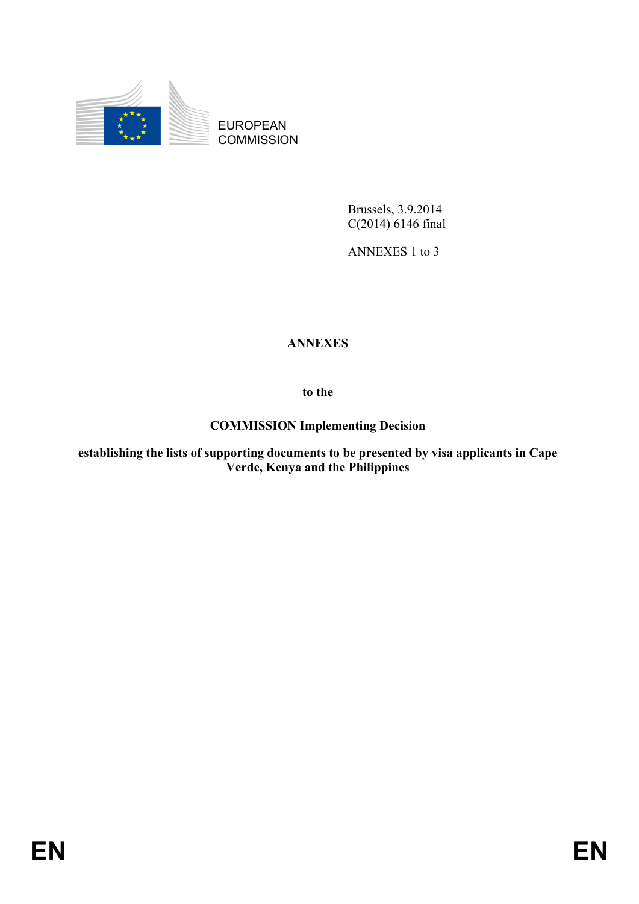

EUROPEAN **COMMISSION** 

> Brussels, 3.9.2014 C(2014) 6146 final

ANNEXES 1 to 3

# **ANNEXES**

**to the** 

## **COMMISSION Implementing Decision**

**establishing the lists of supporting documents to be presented by visa applicants in Cape Verde, Kenya and the Philippines**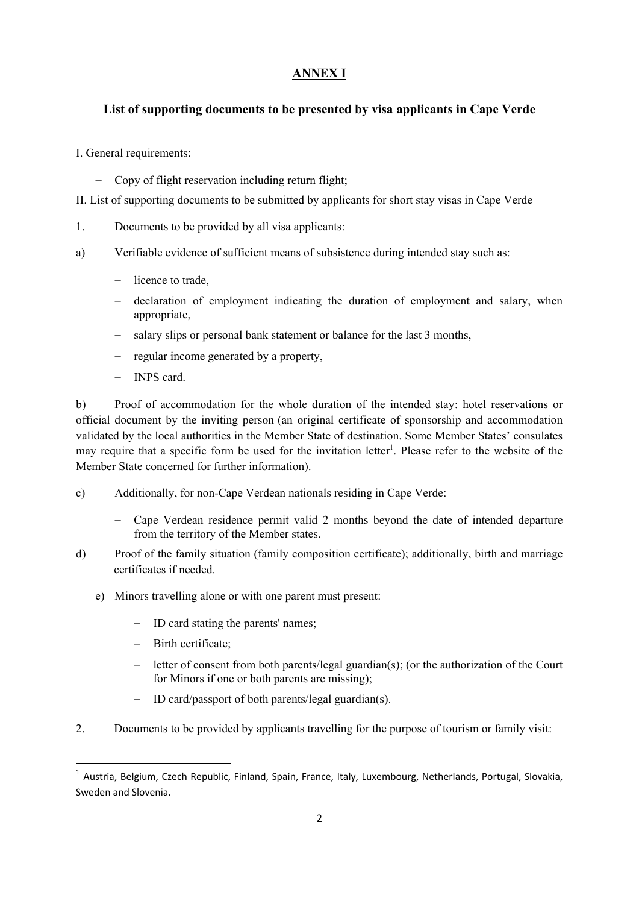### **ANNEX I**

### **List of supporting documents to be presented by visa applicants in Cape Verde**

I. General requirements:

− Copy of flight reservation including return flight;

II. List of supporting documents to be submitted by applicants for short stay visas in Cape Verde

- 1. Documents to be provided by all visa applicants:
- a) Verifiable evidence of sufficient means of subsistence during intended stay such as:
	- − licence to trade,
	- − declaration of employment indicating the duration of employment and salary, when appropriate,
	- − salary slips or personal bank statement or balance for the last 3 months,
	- − regular income generated by a property,
	- − INPS card.

b) Proof of accommodation for the whole duration of the intended stay: hotel reservations or official document by the inviting person (an original certificate of sponsorship and accommodation validated by the local authorities in the Member State of destination. Some Member States' consulates may require that a specific form be used for the invitation letter<sup>1</sup>. Please refer to the website of the Member State concerned for further information).

- c) Additionally, for non-Cape Verdean nationals residing in Cape Verde:
	- − Cape Verdean residence permit valid 2 months beyond the date of intended departure from the territory of the Member states.
- d) Proof of the family situation (family composition certificate); additionally, birth and marriage certificates if needed.
	- e) Minors travelling alone or with one parent must present:
		- − ID card stating the parents' names;
		- − Birth certificate;

1

- − letter of consent from both parents/legal guardian(s); (or the authorization of the Court for Minors if one or both parents are missing);
- ID card/passport of both parents/legal guardian(s).
- 2. Documents to be provided by applicants travelling for the purpose of tourism or family visit:

<sup>1</sup> Austria, Belgium, Czech Republic, Finland, Spain, France, Italy, Luxembourg, Netherlands, Portugal, Slovakia, Sweden and Slovenia.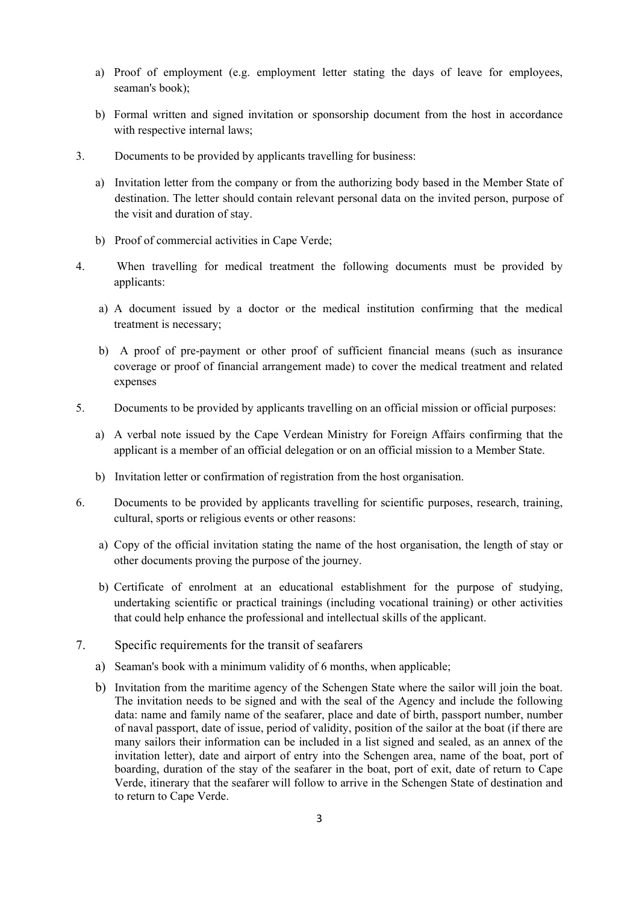- a) Proof of employment (e.g. employment letter stating the days of leave for employees, seaman's book);
- b) Formal written and signed invitation or sponsorship document from the host in accordance with respective internal laws:
- 3. Documents to be provided by applicants travelling for business:
	- a) Invitation letter from the company or from the authorizing body based in the Member State of destination. The letter should contain relevant personal data on the invited person, purpose of the visit and duration of stay.
	- b) Proof of commercial activities in Cape Verde;
- 4. When travelling for medical treatment the following documents must be provided by applicants:
	- a) A document issued by a doctor or the medical institution confirming that the medical treatment is necessary;
	- b) A proof of pre-payment or other proof of sufficient financial means (such as insurance coverage or proof of financial arrangement made) to cover the medical treatment and related expenses
- 5. Documents to be provided by applicants travelling on an official mission or official purposes:
	- a) A verbal note issued by the Cape Verdean Ministry for Foreign Affairs confirming that the applicant is a member of an official delegation or on an official mission to a Member State.
	- b) Invitation letter or confirmation of registration from the host organisation.
- 6. Documents to be provided by applicants travelling for scientific purposes, research, training, cultural, sports or religious events or other reasons:
	- a) Copy of the official invitation stating the name of the host organisation, the length of stay or other documents proving the purpose of the journey.
	- b) Certificate of enrolment at an educational establishment for the purpose of studying, undertaking scientific or practical trainings (including vocational training) or other activities that could help enhance the professional and intellectual skills of the applicant.
- 7. Specific requirements for the transit of seafarers
	- a) Seaman's book with a minimum validity of 6 months, when applicable;
	- b) Invitation from the maritime agency of the Schengen State where the sailor will join the boat. The invitation needs to be signed and with the seal of the Agency and include the following data: name and family name of the seafarer, place and date of birth, passport number, number of naval passport, date of issue, period of validity, position of the sailor at the boat (if there are many sailors their information can be included in a list signed and sealed, as an annex of the invitation letter), date and airport of entry into the Schengen area, name of the boat, port of boarding, duration of the stay of the seafarer in the boat, port of exit, date of return to Cape Verde, itinerary that the seafarer will follow to arrive in the Schengen State of destination and to return to Cape Verde.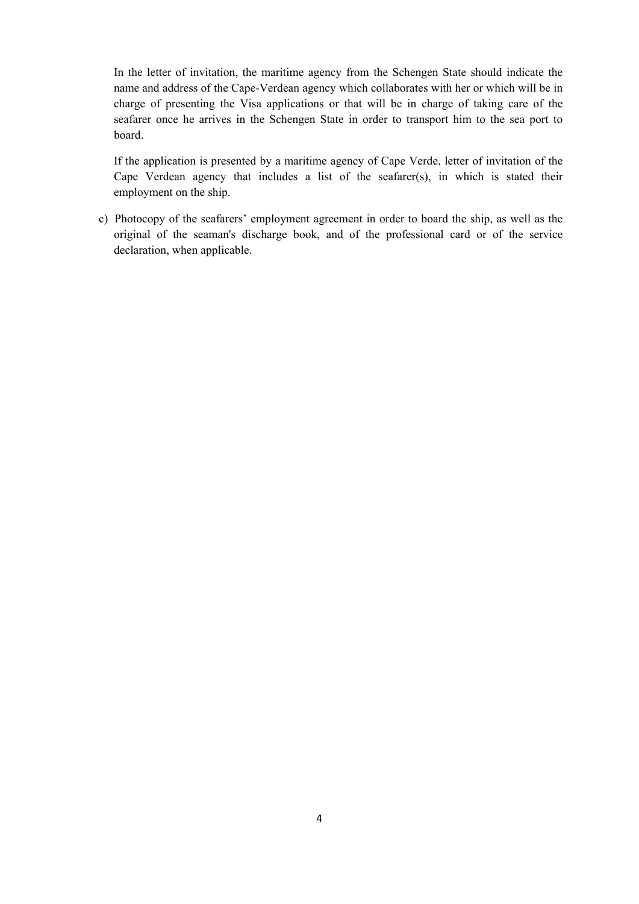In the letter of invitation, the maritime agency from the Schengen State should indicate the name and address of the Cape-Verdean agency which collaborates with her or which will be in charge of presenting the Visa applications or that will be in charge of taking care of the seafarer once he arrives in the Schengen State in order to transport him to the sea port to board.

 If the application is presented by a maritime agency of Cape Verde, letter of invitation of the Cape Verdean agency that includes a list of the seafarer(s), in which is stated their employment on the ship.

 c) Photocopy of the seafarers' employment agreement in order to board the ship, as well as the original of the seaman's discharge book, and of the professional card or of the service declaration, when applicable.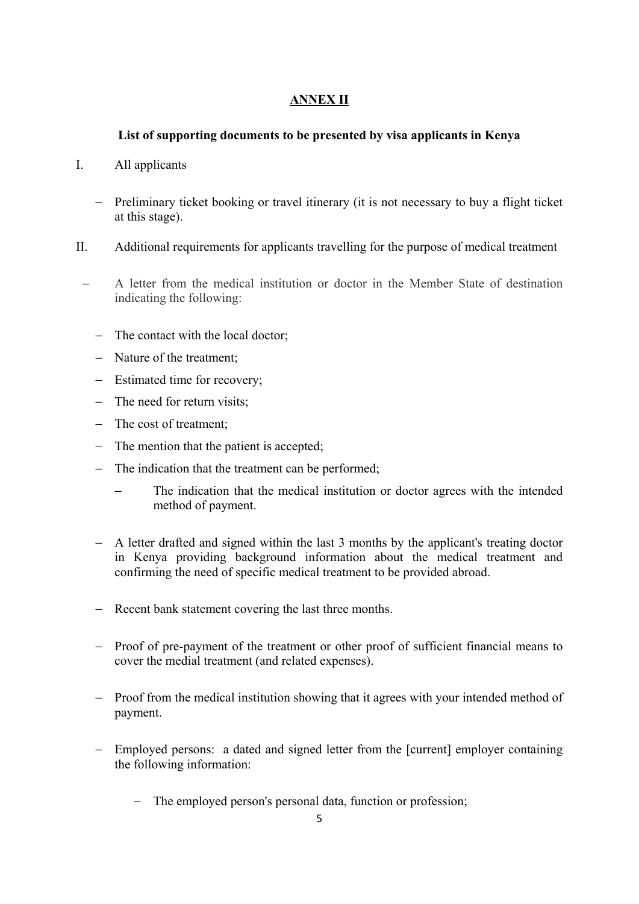## **ANNEX II**

### **List of supporting documents to be presented by visa applicants in Kenya**

- I. All applicants
	- − Preliminary ticket booking or travel itinerary (it is not necessary to buy a flight ticket at this stage).
- II. Additional requirements for applicants travelling for the purpose of medical treatment
- − A letter from the medical institution or doctor in the Member State of destination indicating the following:
	- − The contact with the local doctor;
	- − Nature of the treatment;
	- − Estimated time for recovery;
	- − The need for return visits;
	- − The cost of treatment;
	- − The mention that the patient is accepted;
	- − The indication that the treatment can be performed;
		- The indication that the medical institution or doctor agrees with the intended method of payment.
	- − A letter drafted and signed within the last 3 months by the applicant's treating doctor in Kenya providing background information about the medical treatment and confirming the need of specific medical treatment to be provided abroad.
	- − Recent bank statement covering the last three months.
	- − Proof of pre-payment of the treatment or other proof of sufficient financial means to cover the medial treatment (and related expenses).
	- − Proof from the medical institution showing that it agrees with your intended method of payment.
	- − Employed persons: a dated and signed letter from the [current] employer containing the following information:
		- − The employed person's personal data, function or profession;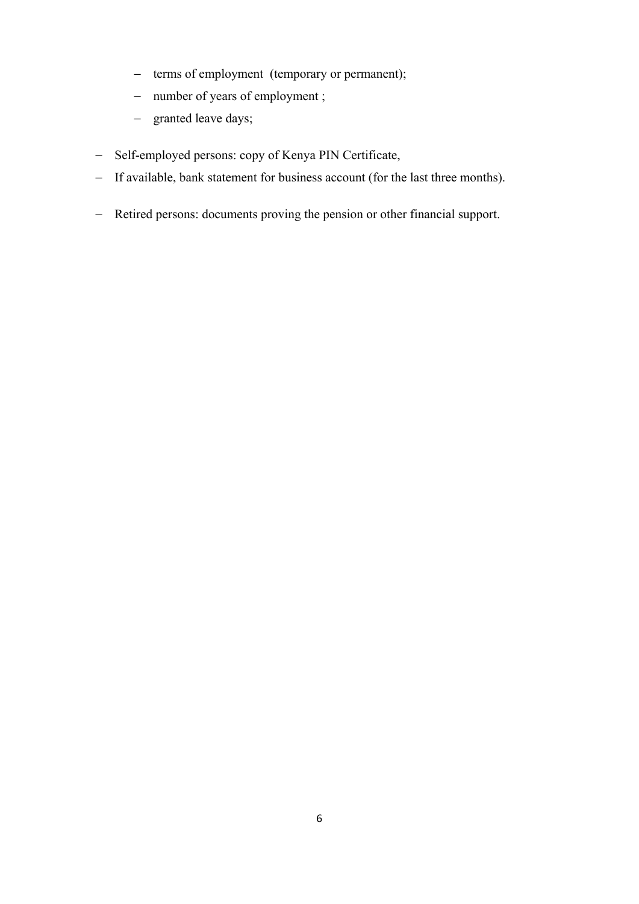- − terms of employment (temporary or permanent);
- − number of years of employment ;
- − granted leave days;
- − Self-employed persons: copy of Kenya PIN Certificate,
- − If available, bank statement for business account (for the last three months).
- − Retired persons: documents proving the pension or other financial support.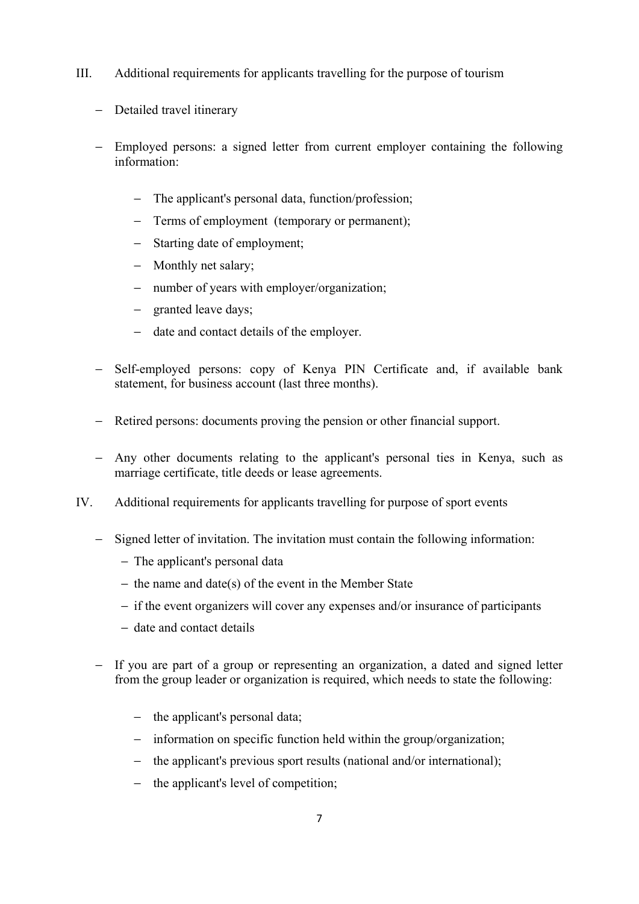- III. Additional requirements for applicants travelling for the purpose of tourism
	- − Detailed travel itinerary
	- − Employed persons: a signed letter from current employer containing the following information:
		- − The applicant's personal data, function/profession;
		- − Terms of employment (temporary or permanent);
		- − Starting date of employment;
		- − Monthly net salary;
		- − number of years with employer/organization;
		- − granted leave days;
		- − date and contact details of the employer.
	- − Self-employed persons: copy of Kenya PIN Certificate and, if available bank statement, for business account (last three months).
	- − Retired persons: documents proving the pension or other financial support.
	- − Any other documents relating to the applicant's personal ties in Kenya, such as marriage certificate, title deeds or lease agreements.
- IV. Additional requirements for applicants travelling for purpose of sport events
	- − Signed letter of invitation. The invitation must contain the following information:
		- − The applicant's personal data
		- − the name and date(s) of the event in the Member State
		- − if the event organizers will cover any expenses and/or insurance of participants
		- − date and contact details
	- − If you are part of a group or representing an organization, a dated and signed letter from the group leader or organization is required, which needs to state the following:
		- − the applicant's personal data;
		- − information on specific function held within the group/organization;
		- − the applicant's previous sport results (national and/or international);
		- − the applicant's level of competition;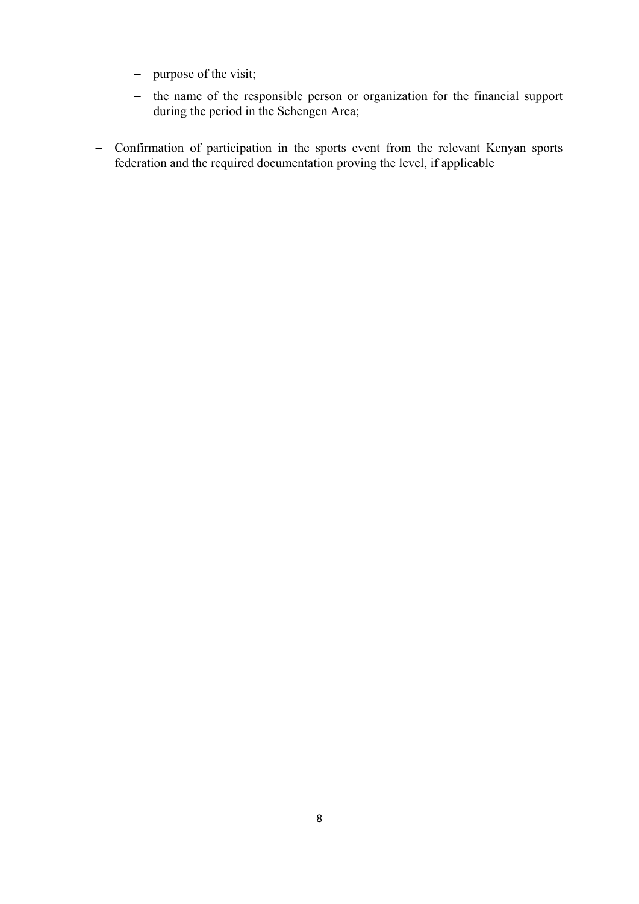- − purpose of the visit;
- − the name of the responsible person or organization for the financial support during the period in the Schengen Area;
- − Confirmation of participation in the sports event from the relevant Kenyan sports federation and the required documentation proving the level, if applicable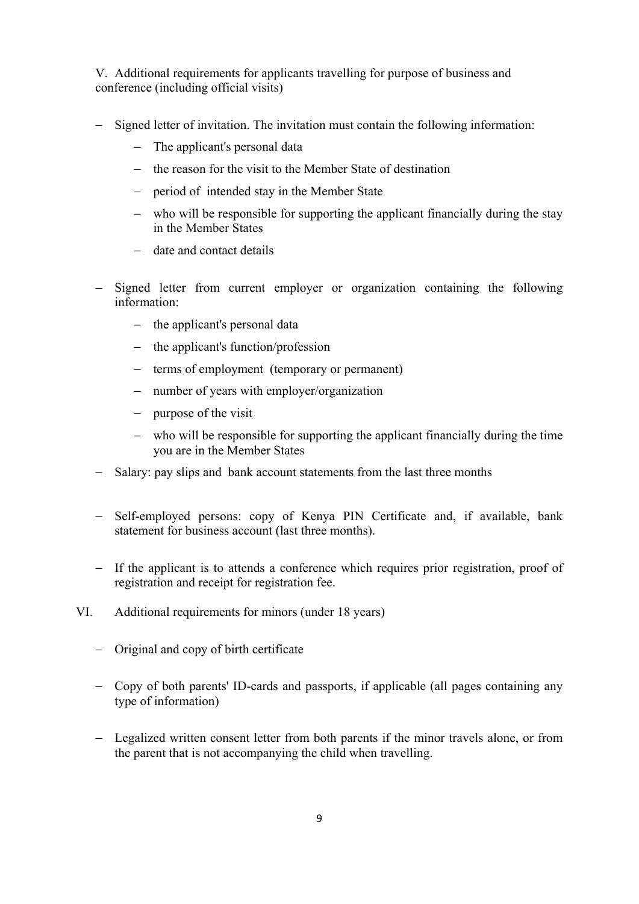V. Additional requirements for applicants travelling for purpose of business and conference (including official visits)

- − Signed letter of invitation. The invitation must contain the following information:
	- − The applicant's personal data
	- − the reason for the visit to the Member State of destination
	- − period of intended stay in the Member State
	- − who will be responsible for supporting the applicant financially during the stay in the Member States
	- − date and contact details
- − Signed letter from current employer or organization containing the following information:
	- − the applicant's personal data
	- − the applicant's function/profession
	- − terms of employment (temporary or permanent)
	- − number of years with employer/organization
	- − purpose of the visit
	- − who will be responsible for supporting the applicant financially during the time you are in the Member States
- − Salary: pay slips and bank account statements from the last three months
- − Self-employed persons: copy of Kenya PIN Certificate and, if available, bank statement for business account (last three months).
- − If the applicant is to attends a conference which requires prior registration, proof of registration and receipt for registration fee.
- VI. Additional requirements for minors (under 18 years)
	- − Original and copy of birth certificate
	- − Copy of both parents' ID-cards and passports, if applicable (all pages containing any type of information)
	- − Legalized written consent letter from both parents if the minor travels alone, or from the parent that is not accompanying the child when travelling.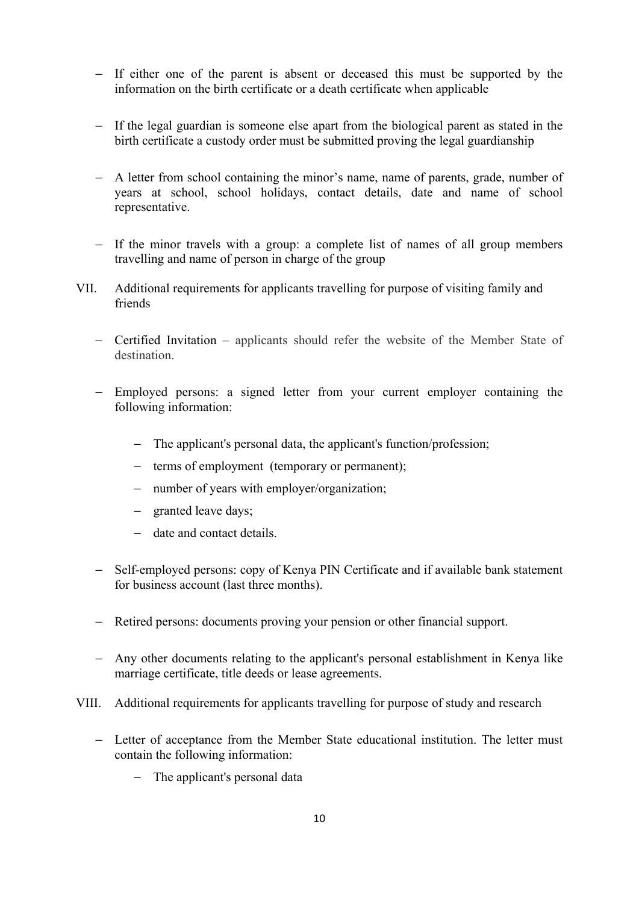- − If either one of the parent is absent or deceased this must be supported by the information on the birth certificate or a death certificate when applicable
- − If the legal guardian is someone else apart from the biological parent as stated in the birth certificate a custody order must be submitted proving the legal guardianship
- − A letter from school containing the minor's name, name of parents, grade, number of years at school, school holidays, contact details, date and name of school representative.
- − If the minor travels with a group: a complete list of names of all group members travelling and name of person in charge of the group
- VII. Additional requirements for applicants travelling for purpose of visiting family and friends
	- − Certified Invitation applicants should refer the website of the Member State of destination.
	- − Employed persons: a signed letter from your current employer containing the following information:
		- − The applicant's personal data, the applicant's function/profession;
		- − terms of employment (temporary or permanent);
		- − number of years with employer/organization;
		- − granted leave days;
		- − date and contact details.
	- − Self-employed persons: copy of Kenya PIN Certificate and if available bank statement for business account (last three months).
	- − Retired persons: documents proving your pension or other financial support.
	- − Any other documents relating to the applicant's personal establishment in Kenya like marriage certificate, title deeds or lease agreements.
- VIII. Additional requirements for applicants travelling for purpose of study and research
	- − Letter of acceptance from the Member State educational institution. The letter must contain the following information:
		- − The applicant's personal data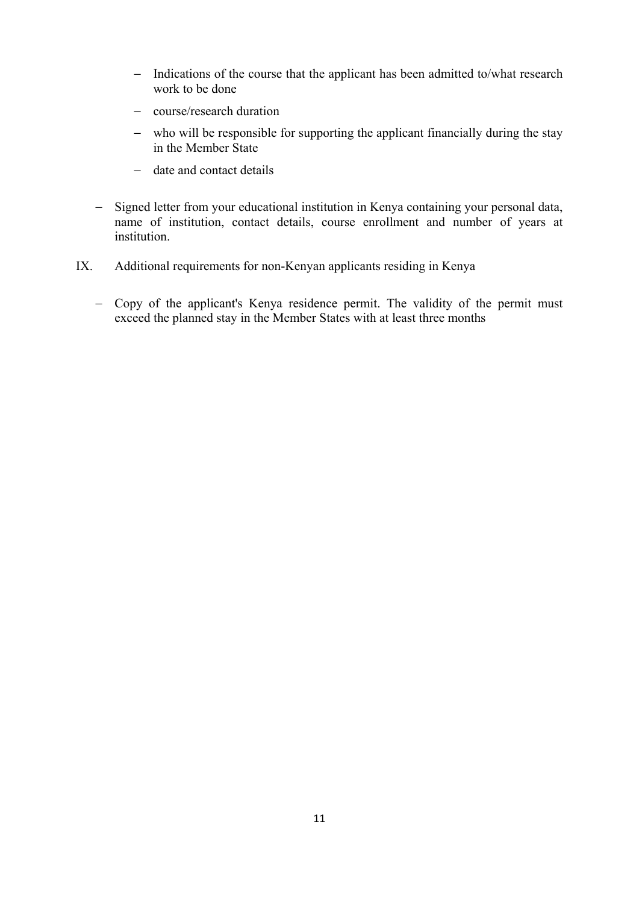- − Indications of the course that the applicant has been admitted to/what research work to be done
- − course/research duration
- − who will be responsible for supporting the applicant financially during the stay in the Member State
- − date and contact details
- − Signed letter from your educational institution in Kenya containing your personal data, name of institution, contact details, course enrollment and number of years at institution.
- IX. Additional requirements for non-Kenyan applicants residing in Kenya
	- − Copy of the applicant's Kenya residence permit. The validity of the permit must exceed the planned stay in the Member States with at least three months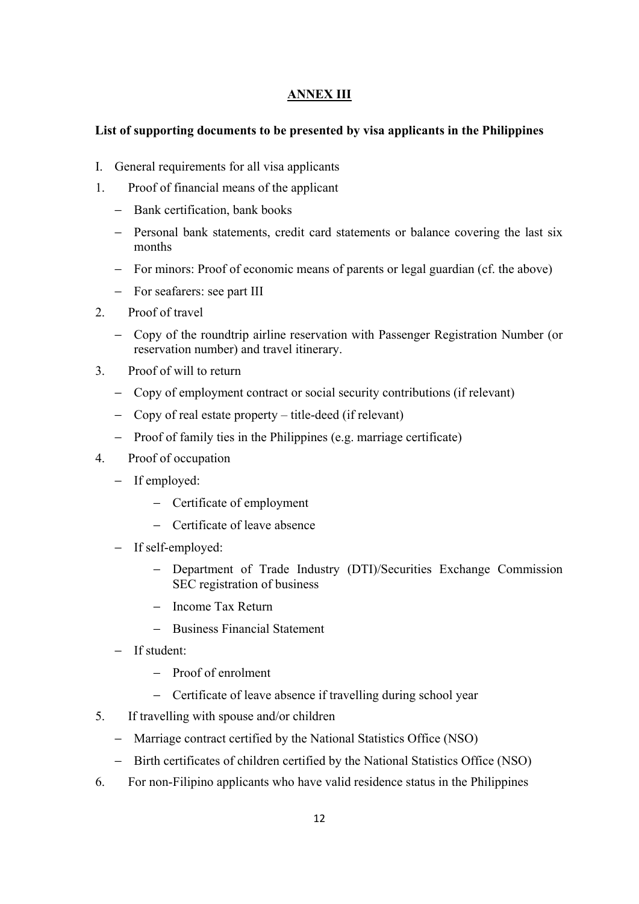### **ANNEX III**

### **List of supporting documents to be presented by visa applicants in the Philippines**

- I. General requirements for all visa applicants
- 1. Proof of financial means of the applicant
	- − Bank certification, bank books
	- − Personal bank statements, credit card statements or balance covering the last six months
	- − For minors: Proof of economic means of parents or legal guardian (cf. the above)
	- − For seafarers: see part III
- 2. Proof of travel
	- − Copy of the roundtrip airline reservation with Passenger Registration Number (or reservation number) and travel itinerary.
- 3. Proof of will to return
	- − Copy of employment contract or social security contributions (if relevant)
	- − Copy of real estate property title-deed (if relevant)
	- − Proof of family ties in the Philippines (e.g. marriage certificate)
- 4. Proof of occupation
	- − If employed:
		- − Certificate of employment
		- − Certificate of leave absence
	- − If self-employed:
		- − Department of Trade Industry (DTI)/Securities Exchange Commission SEC registration of business
		- − Income Tax Return
		- − Business Financial Statement
	- − If student:
		- − Proof of enrolment
		- − Certificate of leave absence if travelling during school year
- 5. If travelling with spouse and/or children
	- − Marriage contract certified by the National Statistics Office (NSO)
	- − Birth certificates of children certified by the National Statistics Office (NSO)
- 6. For non-Filipino applicants who have valid residence status in the Philippines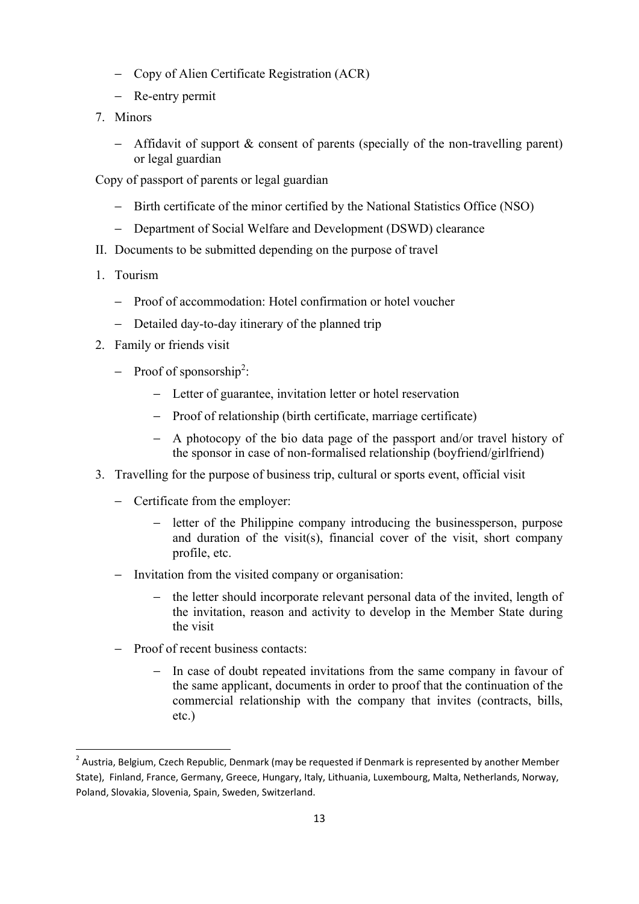- − Copy of Alien Certificate Registration (ACR)
- − Re-entry permit
- 7. Minors
	- − Affidavit of support & consent of parents (specially of the non-travelling parent) or legal guardian

Copy of passport of parents or legal guardian

- − Birth certificate of the minor certified by the National Statistics Office (NSO)
- − Department of Social Welfare and Development (DSWD) clearance
- II. Documents to be submitted depending on the purpose of travel
- 1. Tourism
	- − Proof of accommodation: Hotel confirmation or hotel voucher
	- − Detailed day-to-day itinerary of the planned trip
- 2. Family or friends visit
	- − Proof of sponsorship2 :
		- − Letter of guarantee, invitation letter or hotel reservation
		- − Proof of relationship (birth certificate, marriage certificate)
		- − A photocopy of the bio data page of the passport and/or travel history of the sponsor in case of non-formalised relationship (boyfriend/girlfriend)
- 3. Travelling for the purpose of business trip, cultural or sports event, official visit
	- − Certificate from the employer:
		- − letter of the Philippine company introducing the businessperson, purpose and duration of the visit(s), financial cover of the visit, short company profile, etc.
	- − Invitation from the visited company or organisation:
		- the letter should incorporate relevant personal data of the invited, length of the invitation, reason and activity to develop in the Member State during the visit
	- − Proof of recent business contacts:
		- − In case of doubt repeated invitations from the same company in favour of the same applicant, documents in order to proof that the continuation of the commercial relationship with the company that invites (contracts, bills, etc.)

 2 Austria, Belgium, Czech Republic, Denmark (may be requested if Denmark is represented by another Member State), Finland, France, Germany, Greece, Hungary, Italy, Lithuania, Luxembourg, Malta, Netherlands, Norway, Poland, Slovakia, Slovenia, Spain, Sweden, Switzerland.